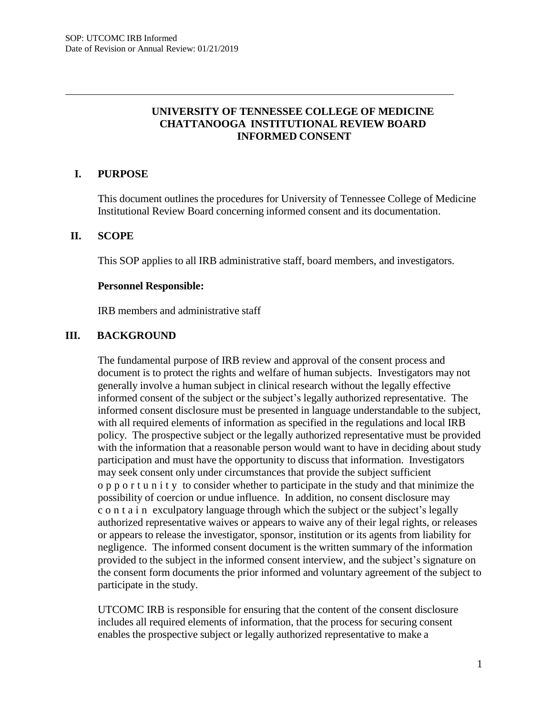# **UNIVERSITY OF TENNESSEE COLLEGE OF MEDICINE CHATTANOOGA INSTITUTIONAL REVIEW BOARD INFORMED CONSENT**

## **I. PURPOSE**

This document outlines the procedures for University of Tennessee College of Medicine Institutional Review Board concerning informed consent and its documentation.

#### **II. SCOPE**

This SOP applies to all IRB administrative staff, board members, and investigators.

#### **Personnel Responsible:**

IRB members and administrative staff

#### **III. BACKGROUND**

The fundamental purpose of IRB review and approval of the consent process and document is to protect the rights and welfare of human subjects. Investigators may not generally involve a human subject in clinical research without the legally effective informed consent of the subject or the subject's legally authorized representative. The informed consent disclosure must be presented in language understandable to the subject, with all required elements of information as specified in the regulations and local IRB policy. The prospective subject or the legally authorized representative must be provided with the information that a reasonable person would want to have in deciding about study participation and must have the opportunity to discuss that information. Investigators may seek consent only under circumstances that provide the subject sufficient o p p o r t u n i t y to consider whether to participate in the study and that minimize the possibility of coercion or undue influence. In addition, no consent disclosure may c o n t a i n exculpatory language through which the subject or the subject's legally authorized representative waives or appears to waive any of their legal rights, or releases or appears to release the investigator, sponsor, institution or its agents from liability for negligence. The informed consent document is the written summary of the information provided to the subject in the informed consent interview, and the subject's signature on the consent form documents the prior informed and voluntary agreement of the subject to participate in the study.

UTCOMC IRB is responsible for ensuring that the content of the consent disclosure includes all required elements of information, that the process for securing consent enables the prospective subject or legally authorized representative to make a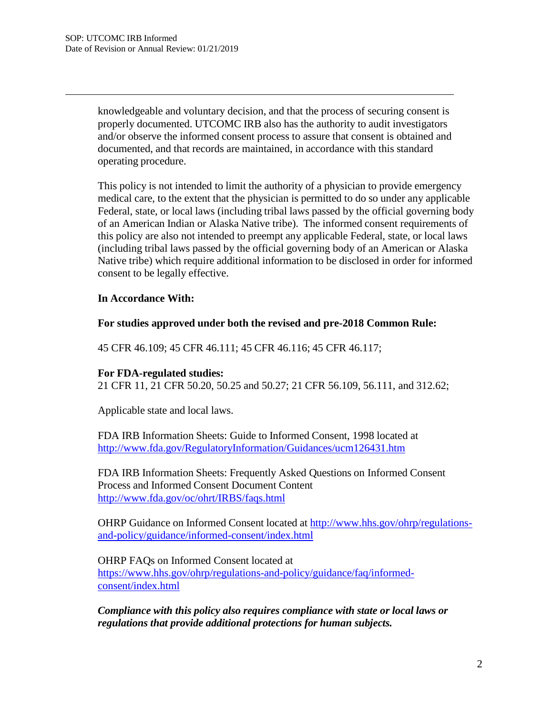knowledgeable and voluntary decision, and that the process of securing consent is properly documented. UTCOMC IRB also has the authority to audit investigators and/or observe the informed consent process to assure that consent is obtained and documented, and that records are maintained, in accordance with this standard operating procedure.

This policy is not intended to limit the authority of a physician to provide emergency medical care, to the extent that the physician is permitted to do so under any applicable Federal, state, or local laws (including tribal laws passed by the official governing body of an American Indian or Alaska Native tribe). The informed consent requirements of this policy are also not intended to preempt any applicable Federal, state, or local laws (including tribal laws passed by the official governing body of an American or Alaska Native tribe) which require additional information to be disclosed in order for informed consent to be legally effective.

### **In Accordance With:**

## **For studies approved under both the revised and pre-2018 Common Rule:**

45 CFR 46.109; 45 CFR 46.111; 45 CFR 46.116; 45 CFR 46.117;

### **For FDA-regulated studies:**

21 CFR 11, 21 CFR 50.20, 50.25 and 50.27; 21 CFR 56.109, 56.111, and 312.62;

Applicable state and local laws.

FDA IRB Information Sheets: Guide to Informed Consent, 1998 located at <http://www.fda.gov/RegulatoryInformation/Guidances/ucm126431.htm>

FDA IRB Information Sheets: Frequently Asked Questions on Informed Consent Process and Informed Consent Document Content <http://www.fda.gov/oc/ohrt/IRBS/faqs.html>

OHRP Guidance on Informed Consent located at [http://www.hhs.gov/ohrp/regulations](http://www.hhs.gov/ohrp/regulations-)and-policy/guidance/informed-consent/index.html

OHRP FAQs on Informed Consent located at https:/[/www.hhs.gov/ohrp/regulations-and-policy/guidance/faq/informed-](http://www.hhs.gov/ohrp/regulations-and-policy/guidance/faq/informed-)

consent/index.html

*Compliance with this policy also requires compliance with state or local laws or regulations that provide additional protections for human subjects.*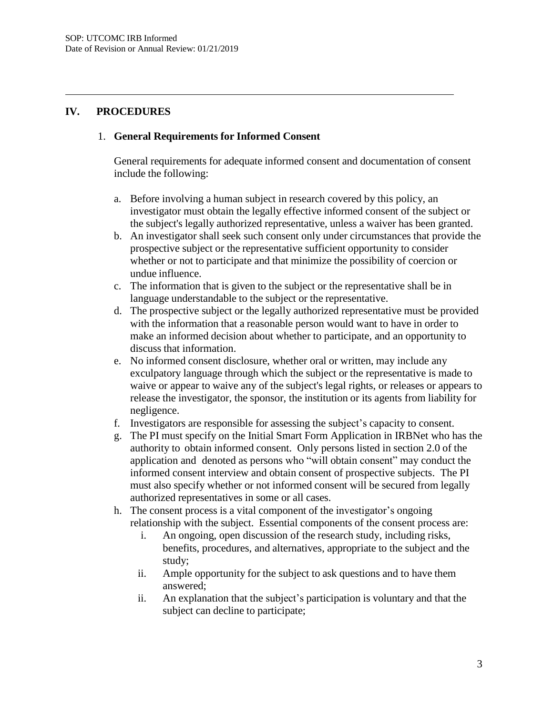## **IV. PROCEDURES**

### 1. **General Requirements for Informed Consent**

General requirements for adequate informed consent and documentation of consent include the following:

- a. Before involving a human subject in research covered by this policy, an investigator must obtain the legally effective informed consent of the subject or the subject's legally authorized representative, unless a waiver has been granted.
- b. An investigator shall seek such consent only under circumstances that provide the prospective subject or the representative sufficient opportunity to consider whether or not to participate and that minimize the possibility of coercion or undue influence.
- c. The information that is given to the subject or the representative shall be in language understandable to the subject or the representative.
- d. The prospective subject or the legally authorized representative must be provided with the information that a reasonable person would want to have in order to make an informed decision about whether to participate, and an opportunity to discuss that information.
- e. No informed consent disclosure, whether oral or written, may include any exculpatory language through which the subject or the representative is made to waive or appear to waive any of the subject's legal rights, or releases or appears to release the investigator, the sponsor, the institution or its agents from liability for negligence.
- f. Investigators are responsible for assessing the subject's capacity to consent.
- g. The PI must specify on the Initial Smart Form Application in IRBNet who has the authority to obtain informed consent. Only persons listed in section 2.0 of the application and denoted as persons who "will obtain consent" may conduct the informed consent interview and obtain consent of prospective subjects. The PI must also specify whether or not informed consent will be secured from legally authorized representatives in some or all cases.
- h. The consent process is a vital component of the investigator's ongoing relationship with the subject. Essential components of the consent process are:
	- i. An ongoing, open discussion of the research study, including risks, benefits, procedures, and alternatives, appropriate to the subject and the study;
	- ii. Ample opportunity for the subject to ask questions and to have them answered;
	- ii. An explanation that the subject's participation is voluntary and that the subject can decline to participate;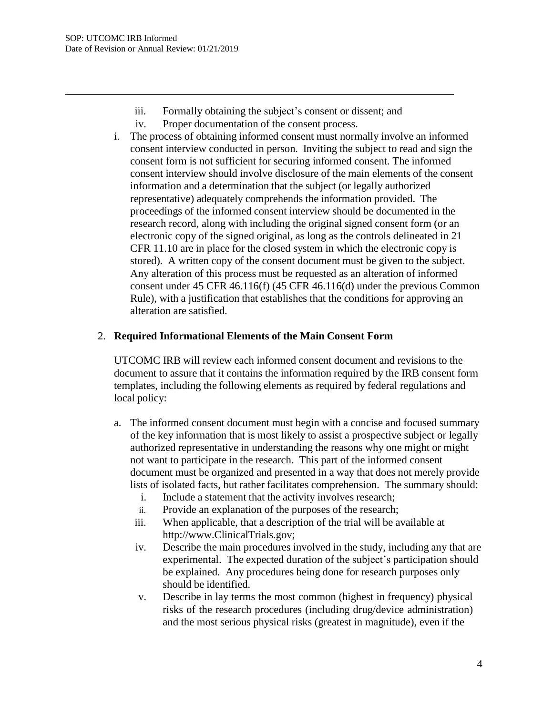- iii. Formally obtaining the subject's consent or dissent; and
- iv. Proper documentation of the consent process.
- i. The process of obtaining informed consent must normally involve an informed consent interview conducted in person. Inviting the subject to read and sign the consent form is not sufficient for securing informed consent. The informed consent interview should involve disclosure of the main elements of the consent information and a determination that the subject (or legally authorized representative) adequately comprehends the information provided. The proceedings of the informed consent interview should be documented in the research record, along with including the original signed consent form (or an electronic copy of the signed original, as long as the controls delineated in 21 CFR 11.10 are in place for the closed system in which the electronic copy is stored). A written copy of the consent document must be given to the subject. Any alteration of this process must be requested as an alteration of informed consent under 45 CFR 46.116(f) (45 CFR 46.116(d) under the previous Common Rule), with a justification that establishes that the conditions for approving an alteration are satisfied.

## 2. **Required Informational Elements of the Main Consent Form**

UTCOMC IRB will review each informed consent document and revisions to the document to assure that it contains the information required by the IRB consent form templates, including the following elements as required by federal regulations and local policy:

- a. The informed consent document must begin with a concise and focused summary of the key information that is most likely to assist a prospective subject or legally authorized representative in understanding the reasons why one might or might not want to participate in the research. This part of the informed consent document must be organized and presented in a way that does not merely provide lists of isolated facts, but rather facilitates comprehension. The summary should:
	- i. Include a statement that the activity involves research;
	- ii. Provide an explanation of the purposes of the research;
	- iii. When applicable, that a description of the trial will be available at http://www.ClinicalTrials.gov;
	- iv. Describe the main procedures involved in the study, including any that are experimental. The expected duration of the subject's participation should be explained. Any procedures being done for research purposes only should be identified.
	- v. Describe in lay terms the most common (highest in frequency) physical risks of the research procedures (including drug/device administration) and the most serious physical risks (greatest in magnitude), even if the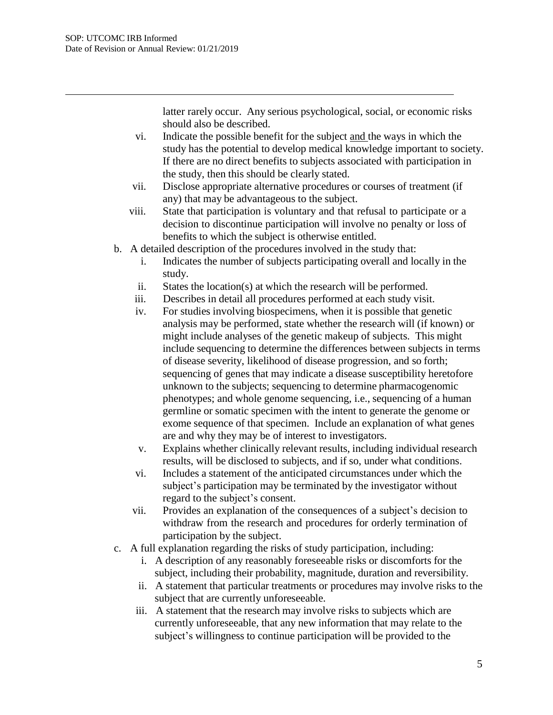latter rarely occur. Any serious psychological, social, or economic risks should also be described.

- vi. Indicate the possible benefit for the subject and the ways in which the study has the potential to develop medical knowledge important to society. If there are no direct benefits to subjects associated with participation in the study, then this should be clearly stated.
- vii. Disclose appropriate alternative procedures or courses of treatment (if any) that may be advantageous to the subject.
- viii. State that participation is voluntary and that refusal to participate or a decision to discontinue participation will involve no penalty or loss of benefits to which the subject is otherwise entitled.
- b. A detailed description of the procedures involved in the study that:
	- i. Indicates the number of subjects participating overall and locally in the study.
	- ii. States the location(s) at which the research will be performed.
	- iii. Describes in detail all procedures performed at each study visit.
	- iv. For studies involving biospecimens, when it is possible that genetic analysis may be performed, state whether the research will (if known) or might include analyses of the genetic makeup of subjects. This might include sequencing to determine the differences between subjects in terms of disease severity, likelihood of disease progression, and so forth; sequencing of genes that may indicate a disease susceptibility heretofore unknown to the subjects; sequencing to determine pharmacogenomic phenotypes; and whole genome sequencing, i.e., sequencing of a human germline or somatic specimen with the intent to generate the genome or exome sequence of that specimen. Include an explanation of what genes are and why they may be of interest to investigators.
	- v. Explains whether clinically relevant results, including individual research results, will be disclosed to subjects, and if so, under what conditions.
	- vi. Includes a statement of the anticipated circumstances under which the subject's participation may be terminated by the investigator without regard to the subject's consent.
	- vii. Provides an explanation of the consequences of a subject's decision to withdraw from the research and procedures for orderly termination of participation by the subject.
- c. A full explanation regarding the risks of study participation, including:
	- i. A description of any reasonably foreseeable risks or discomforts for the subject, including their probability, magnitude, duration and reversibility.
	- ii. A statement that particular treatments or procedures may involve risks to the subject that are currently unforeseeable.
	- iii. A statement that the research may involve risks to subjects which are currently unforeseeable, that any new information that may relate to the subject's willingness to continue participation will be provided to the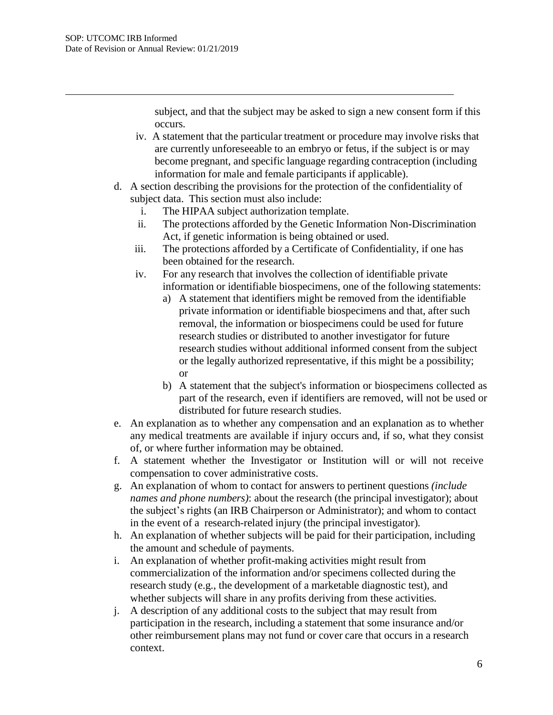subject, and that the subject may be asked to sign a new consent form if this occurs.

- iv. A statement that the particular treatment or procedure may involve risks that are currently unforeseeable to an embryo or fetus, if the subject is or may become pregnant, and specific language regarding contraception (including information for male and female participants if applicable).
- d. A section describing the provisions for the protection of the confidentiality of subject data. This section must also include:
	- i. The HIPAA subject authorization template.
	- ii. The protections afforded by the Genetic Information Non-Discrimination Act, if genetic information is being obtained or used.
	- iii. The protections afforded by a Certificate of Confidentiality, if one has been obtained for the research.
	- iv. For any research that involves the collection of identifiable private information or identifiable biospecimens, one of the following statements:
		- a) A statement that identifiers might be removed from the identifiable private information or identifiable biospecimens and that, after such removal, the information or biospecimens could be used for future research studies or distributed to another investigator for future research studies without additional informed consent from the subject or the legally authorized representative, if this might be a possibility; or
		- b) A statement that the subject's information or biospecimens collected as part of the research, even if identifiers are removed, will not be used or distributed for future research studies.
- e. An explanation as to whether any compensation and an explanation as to whether any medical treatments are available if injury occurs and, if so, what they consist of, or where further information may be obtained.
- f. A statement whether the Investigator or Institution will or will not receive compensation to cover administrative costs.
- g. An explanation of whom to contact for answers to pertinent questions *(include names and phone numbers)*: about the research (the principal investigator); about the subject's rights (an IRB Chairperson or Administrator); and whom to contact in the event of a research-related injury (the principal investigator).
- h. An explanation of whether subjects will be paid for their participation, including the amount and schedule of payments.
- i. An explanation of whether profit-making activities might result from commercialization of the information and/or specimens collected during the research study (e.g., the development of a marketable diagnostic test), and whether subjects will share in any profits deriving from these activities.
- j. A description of any additional costs to the subject that may result from participation in the research, including a statement that some insurance and/or other reimbursement plans may not fund or cover care that occurs in a research context.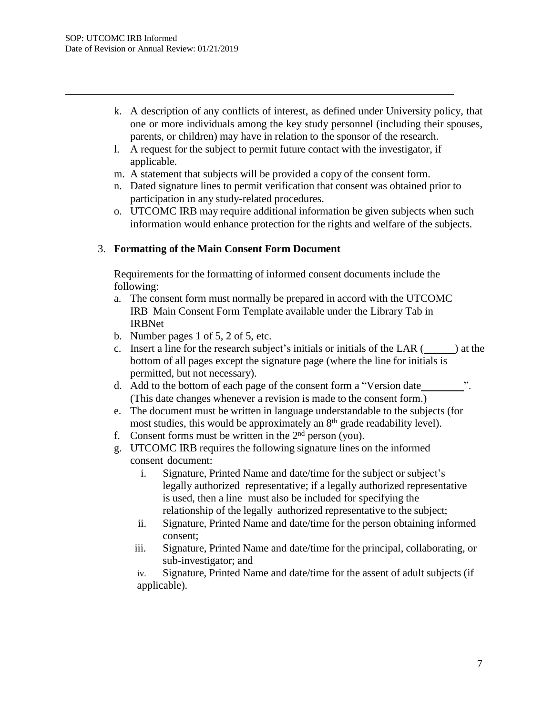- k. A description of any conflicts of interest, as defined under University policy, that one or more individuals among the key study personnel (including their spouses, parents, or children) may have in relation to the sponsor of the research.
- l. A request for the subject to permit future contact with the investigator, if applicable.
- m. A statement that subjects will be provided a copy of the consent form.
- n. Dated signature lines to permit verification that consent was obtained prior to participation in any study-related procedures.
- o. UTCOMC IRB may require additional information be given subjects when such information would enhance protection for the rights and welfare of the subjects.

## 3. **Formatting of the Main Consent Form Document**

Requirements for the formatting of informed consent documents include the following:

- a. The consent form must normally be prepared in accord with the UTCOMC IRB Main Consent Form Template available under the Library Tab in IRBNet
- b. Number pages 1 of 5, 2 of 5, etc.
- c. Insert a line for the research subject's initials or initials of the LAR  $($ ) at the bottom of all pages except the signature page (where the line for initials is permitted, but not necessary).
- d. Add to the bottom of each page of the consent form a "Version date ". (This date changes whenever a revision is made to the consent form.)
- e. The document must be written in language understandable to the subjects (for most studies, this would be approximately an  $8<sup>th</sup>$  grade readability level).
- f. Consent forms must be written in the  $2<sup>nd</sup>$  person (you).
- g. UTCOMC IRB requires the following signature lines on the informed consent document:
	- i. Signature, Printed Name and date/time for the subject or subject's legally authorized representative; if a legally authorized representative is used, then a line must also be included for specifying the relationship of the legally authorized representative to the subject;
	- ii. Signature, Printed Name and date/time for the person obtaining informed consent;
	- iii. Signature, Printed Name and date/time for the principal, collaborating, or sub-investigator; and

iv. Signature, Printed Name and date/time for the assent of adult subjects (if applicable).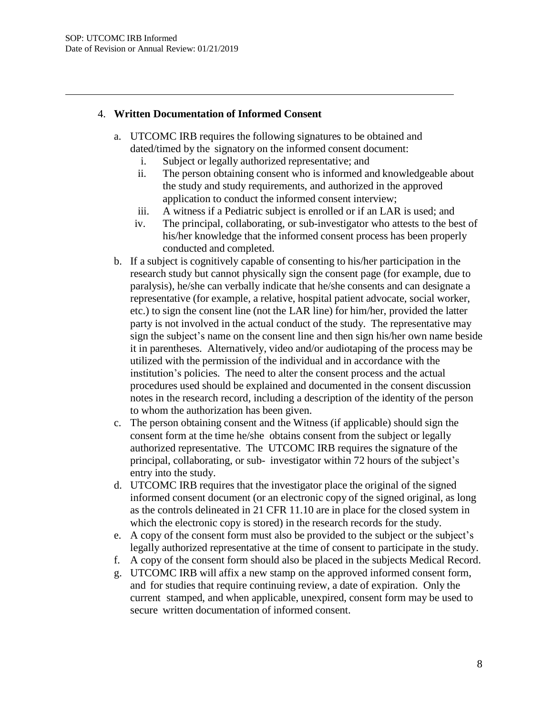### 4. **Written Documentation of Informed Consent**

- a. UTCOMC IRB requires the following signatures to be obtained and dated/timed by the signatory on the informed consent document:
	- i. Subject or legally authorized representative; and
	- ii. The person obtaining consent who is informed and knowledgeable about the study and study requirements, and authorized in the approved application to conduct the informed consent interview;
	- iii. A witness if a Pediatric subject is enrolled or if an LAR is used; and
	- iv. The principal, collaborating, or sub-investigator who attests to the best of his/her knowledge that the informed consent process has been properly conducted and completed.
- b. If a subject is cognitively capable of consenting to his/her participation in the research study but cannot physically sign the consent page (for example, due to paralysis), he/she can verbally indicate that he/she consents and can designate a representative (for example, a relative, hospital patient advocate, social worker, etc.) to sign the consent line (not the LAR line) for him/her, provided the latter party is not involved in the actual conduct of the study. The representative may sign the subject's name on the consent line and then sign his/her own name beside it in parentheses. Alternatively, video and/or audiotaping of the process may be utilized with the permission of the individual and in accordance with the institution's policies. The need to alter the consent process and the actual procedures used should be explained and documented in the consent discussion notes in the research record, including a description of the identity of the person to whom the authorization has been given.
- c. The person obtaining consent and the Witness (if applicable) should sign the consent form at the time he/she obtains consent from the subject or legally authorized representative. The UTCOMC IRB requires the signature of the principal, collaborating, or sub- investigator within 72 hours of the subject's entry into the study.
- d. UTCOMC IRB requires that the investigator place the original of the signed informed consent document (or an electronic copy of the signed original, as long as the controls delineated in 21 CFR 11.10 are in place for the closed system in which the electronic copy is stored) in the research records for the study.
- e. A copy of the consent form must also be provided to the subject or the subject's legally authorized representative at the time of consent to participate in the study.
- f. A copy of the consent form should also be placed in the subjects Medical Record.
- g. UTCOMC IRB will affix a new stamp on the approved informed consent form, and for studies that require continuing review, a date of expiration. Only the current stamped, and when applicable, unexpired, consent form may be used to secure written documentation of informed consent.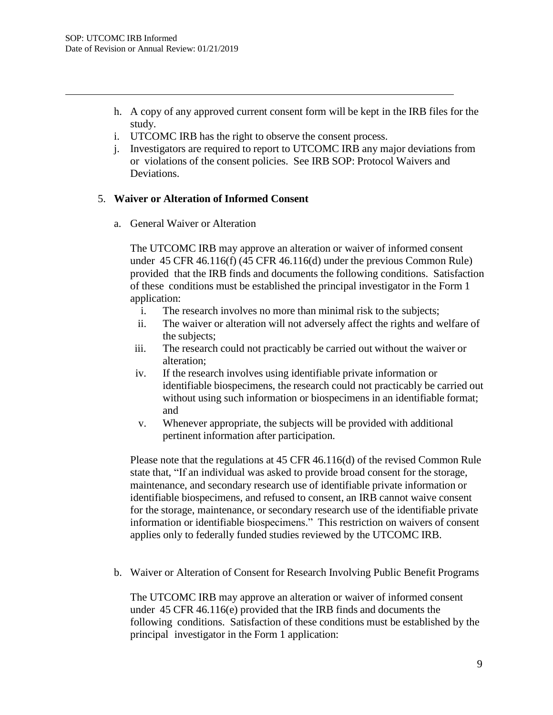- h. A copy of any approved current consent form will be kept in the IRB files for the study.
- i. UTCOMC IRB has the right to observe the consent process.
- j. Investigators are required to report to UTCOMC IRB any major deviations from or violations of the consent policies. See IRB SOP: Protocol Waivers and Deviations.

## 5. **Waiver or Alteration of Informed Consent**

a. General Waiver or Alteration

The UTCOMC IRB may approve an alteration or waiver of informed consent under 45 CFR 46.116(f) (45 CFR 46.116(d) under the previous Common Rule) provided that the IRB finds and documents the following conditions. Satisfaction of these conditions must be established the principal investigator in the Form 1 application:

- i. The research involves no more than minimal risk to the subjects;
- ii. The waiver or alteration will not adversely affect the rights and welfare of the subjects;
- iii. The research could not practicably be carried out without the waiver or alteration;
- iv. If the research involves using identifiable private information or identifiable biospecimens, the research could not practicably be carried out without using such information or biospecimens in an identifiable format; and
- v. Whenever appropriate, the subjects will be provided with additional pertinent information after participation.

Please note that the regulations at 45 CFR 46.116(d) of the revised Common Rule state that, "If an individual was asked to provide broad consent for the storage, maintenance, and secondary research use of identifiable private information or identifiable biospecimens, and refused to consent, an IRB cannot waive consent for the storage, maintenance, or secondary research use of the identifiable private information or identifiable biospecimens." This restriction on waivers of consent applies only to federally funded studies reviewed by the UTCOMC IRB.

b. Waiver or Alteration of Consent for Research Involving Public Benefit Programs

The UTCOMC IRB may approve an alteration or waiver of informed consent under 45 CFR 46.116(e) provided that the IRB finds and documents the following conditions. Satisfaction of these conditions must be established by the principal investigator in the Form 1 application: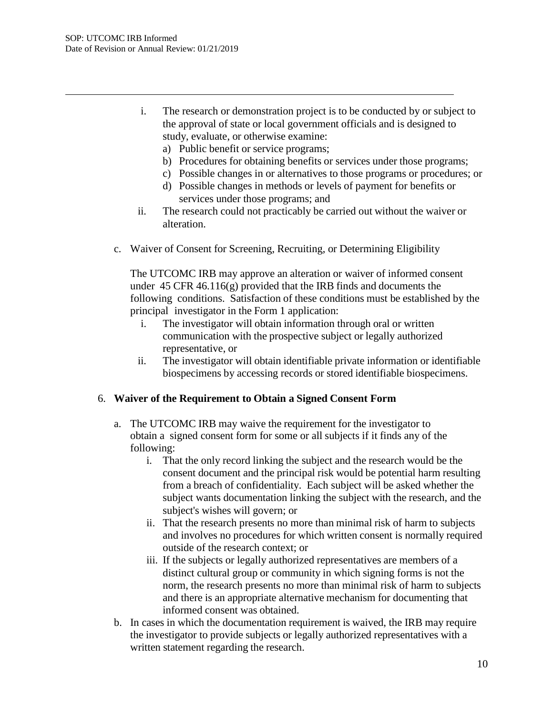- i. The research or demonstration project is to be conducted by or subject to the approval of state or local government officials and is designed to study, evaluate, or otherwise examine:
	- a) Public benefit or service programs;
	- b) Procedures for obtaining benefits or services under those programs;
	- c) Possible changes in or alternatives to those programs or procedures; or
	- d) Possible changes in methods or levels of payment for benefits or services under those programs; and
- ii. The research could not practicably be carried out without the waiver or alteration.
- c. Waiver of Consent for Screening, Recruiting, or Determining Eligibility

The UTCOMC IRB may approve an alteration or waiver of informed consent under  $45$  CFR  $46.116(g)$  provided that the IRB finds and documents the following conditions. Satisfaction of these conditions must be established by the principal investigator in the Form 1 application:

- i. The investigator will obtain information through oral or written communication with the prospective subject or legally authorized representative, or
- ii. The investigator will obtain identifiable private information or identifiable biospecimens by accessing records or stored identifiable biospecimens.

### 6. **Waiver of the Requirement to Obtain a Signed Consent Form**

- a. The UTCOMC IRB may waive the requirement for the investigator to obtain a signed consent form for some or all subjects if it finds any of the following:
	- i. That the only record linking the subject and the research would be the consent document and the principal risk would be potential harm resulting from a breach of confidentiality. Each subject will be asked whether the subject wants documentation linking the subject with the research, and the subject's wishes will govern; or
	- ii. That the research presents no more than minimal risk of harm to subjects and involves no procedures for which written consent is normally required outside of the research context; or
	- iii. If the subjects or legally authorized representatives are members of a distinct cultural group or community in which signing forms is not the norm, the research presents no more than minimal risk of harm to subjects and there is an appropriate alternative mechanism for documenting that informed consent was obtained.
- b. In cases in which the documentation requirement is waived, the IRB may require the investigator to provide subjects or legally authorized representatives with a written statement regarding the research.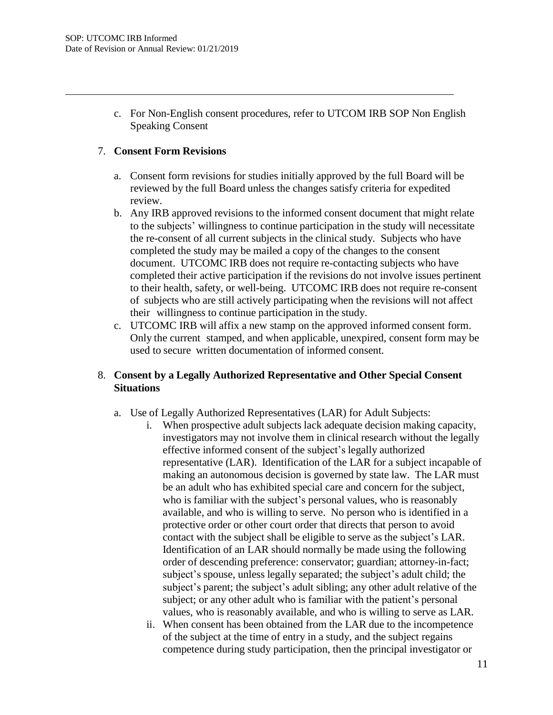c. For Non-English consent procedures, refer to UTCOM IRB SOP Non English Speaking Consent

### 7. **Consent Form Revisions**

- a. Consent form revisions for studies initially approved by the full Board will be reviewed by the full Board unless the changes satisfy criteria for expedited review.
- b. Any IRB approved revisions to the informed consent document that might relate to the subjects' willingness to continue participation in the study will necessitate the re-consent of all current subjects in the clinical study. Subjects who have completed the study may be mailed a copy of the changes to the consent document. UTCOMC IRB does not require re-contacting subjects who have completed their active participation if the revisions do not involve issues pertinent to their health, safety, or well-being. UTCOMC IRB does not require re-consent of subjects who are still actively participating when the revisions will not affect their willingness to continue participation in the study.
- c. UTCOMC IRB will affix a new stamp on the approved informed consent form. Only the current stamped, and when applicable, unexpired, consent form may be used to secure written documentation of informed consent.

# 8. **Consent by a Legally Authorized Representative and Other Special Consent Situations**

- a. Use of Legally Authorized Representatives (LAR) for Adult Subjects:
	- i. When prospective adult subjects lack adequate decision making capacity, investigators may not involve them in clinical research without the legally effective informed consent of the subject's legally authorized representative (LAR). Identification of the LAR for a subject incapable of making an autonomous decision is governed by state law. The LAR must be an adult who has exhibited special care and concern for the subject, who is familiar with the subject's personal values, who is reasonably available, and who is willing to serve. No person who is identified in a protective order or other court order that directs that person to avoid contact with the subject shall be eligible to serve as the subject's LAR. Identification of an LAR should normally be made using the following order of descending preference: conservator; guardian; attorney-in-fact; subject's spouse, unless legally separated; the subject's adult child; the subject's parent; the subject's adult sibling; any other adult relative of the subject; or any other adult who is familiar with the patient's personal values, who is reasonably available, and who is willing to serve as LAR.
	- ii. When consent has been obtained from the LAR due to the incompetence of the subject at the time of entry in a study, and the subject regains competence during study participation, then the principal investigator or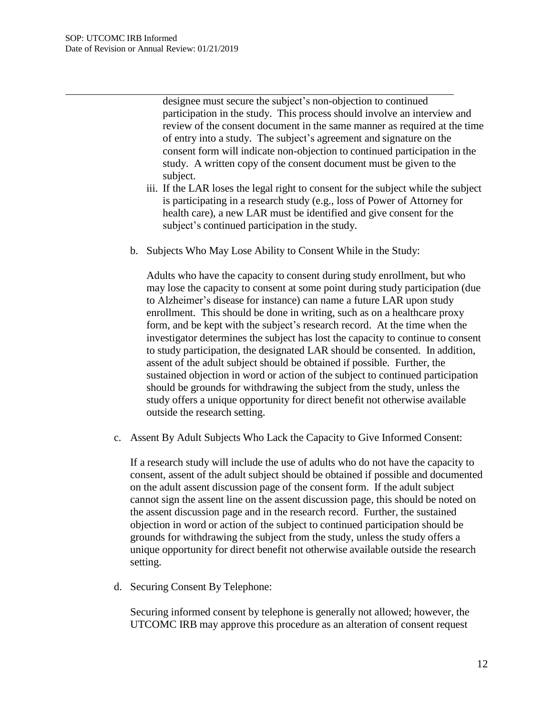designee must secure the subject's non-objection to continued participation in the study. This process should involve an interview and review of the consent document in the same manner as required at the time of entry into a study. The subject's agreement and signature on the consent form will indicate non-objection to continued participation in the study. A written copy of the consent document must be given to the subject.

- iii. If the LAR loses the legal right to consent for the subject while the subject is participating in a research study (e.g., loss of Power of Attorney for health care), a new LAR must be identified and give consent for the subject's continued participation in the study.
- b. Subjects Who May Lose Ability to Consent While in the Study:

Adults who have the capacity to consent during study enrollment, but who may lose the capacity to consent at some point during study participation (due to Alzheimer's disease for instance) can name a future LAR upon study enrollment. This should be done in writing, such as on a healthcare proxy form, and be kept with the subject's research record. At the time when the investigator determines the subject has lost the capacity to continue to consent to study participation, the designated LAR should be consented. In addition, assent of the adult subject should be obtained if possible. Further, the sustained objection in word or action of the subject to continued participation should be grounds for withdrawing the subject from the study, unless the study offers a unique opportunity for direct benefit not otherwise available outside the research setting.

c. Assent By Adult Subjects Who Lack the Capacity to Give Informed Consent:

If a research study will include the use of adults who do not have the capacity to consent, assent of the adult subject should be obtained if possible and documented on the adult assent discussion page of the consent form. If the adult subject cannot sign the assent line on the assent discussion page, this should be noted on the assent discussion page and in the research record. Further, the sustained objection in word or action of the subject to continued participation should be grounds for withdrawing the subject from the study, unless the study offers a unique opportunity for direct benefit not otherwise available outside the research setting.

d. Securing Consent By Telephone:

Securing informed consent by telephone is generally not allowed; however, the UTCOMC IRB may approve this procedure as an alteration of consent request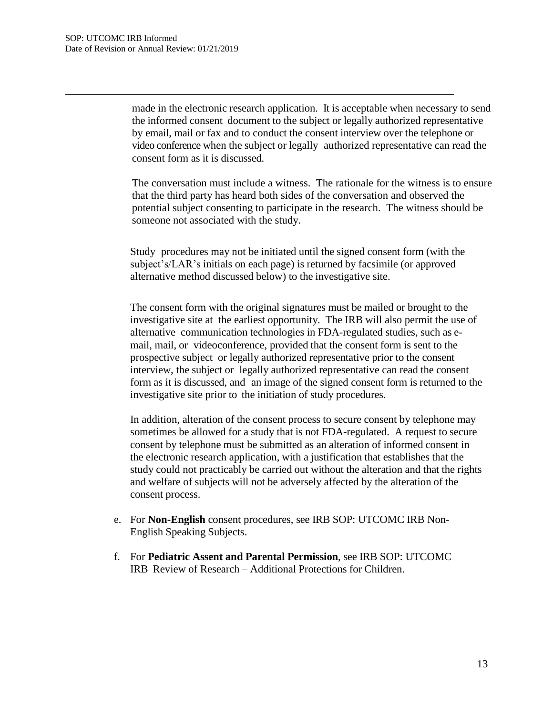made in the electronic research application. It is acceptable when necessary to send the informed consent document to the subject or legally authorized representative by email, mail or fax and to conduct the consent interview over the telephone or video conference when the subject or legally authorized representative can read the consent form as it is discussed.

The conversation must include a witness. The rationale for the witness is to ensure that the third party has heard both sides of the conversation and observed the potential subject consenting to participate in the research. The witness should be someone not associated with the study.

Study procedures may not be initiated until the signed consent form (with the subject's/LAR's initials on each page) is returned by facsimile (or approved alternative method discussed below) to the investigative site.

The consent form with the original signatures must be mailed or brought to the investigative site at the earliest opportunity. The IRB will also permit the use of alternative communication technologies in FDA-regulated studies, such as email, mail, or videoconference, provided that the consent form is sent to the prospective subject or legally authorized representative prior to the consent interview, the subject or legally authorized representative can read the consent form as it is discussed, and an image of the signed consent form is returned to the investigative site prior to the initiation of study procedures.

In addition, alteration of the consent process to secure consent by telephone may sometimes be allowed for a study that is not FDA-regulated. A request to secure consent by telephone must be submitted as an alteration of informed consent in the electronic research application, with a justification that establishes that the study could not practicably be carried out without the alteration and that the rights and welfare of subjects will not be adversely affected by the alteration of the consent process.

- e. For **Non-English** consent procedures, see IRB SOP: UTCOMC IRB Non-English Speaking Subjects.
- f. For **Pediatric Assent and Parental Permission**, see IRB SOP: UTCOMC IRB Review of Research – Additional Protections for Children.